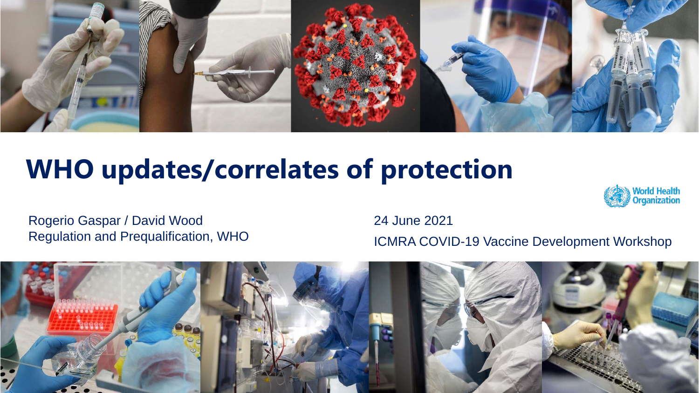

# **WHO updates/correlates of protection**



Rogerio Gaspar / David Wood Regulation and Prequalification, WHO 24 June 2021

ICMRA COVID-19 Vaccine Development Workshop

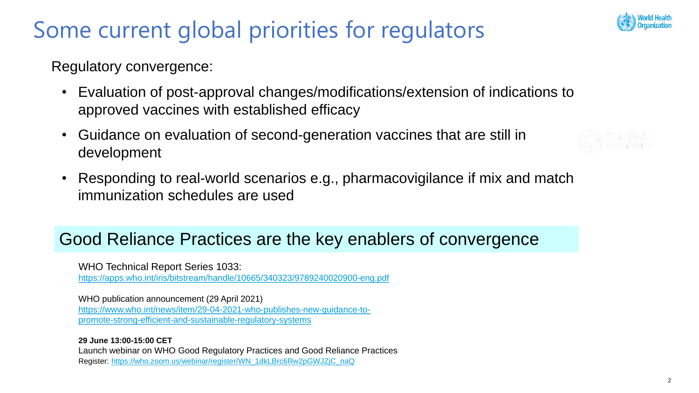## Some current global priorities for regulators



Regulatory convergence:

- Evaluation of post-approval changes/modifications/extension of indications to approved vaccines with established efficacy
- Guidance on evaluation of second-generation vaccines that are still in development
- Responding to real-world scenarios e.g., pharmacovigilance if mix and match immunization schedules are used

#### Good Reliance Practices are the key enablers of convergence

WHO Technical Report Series 1033: <https://apps.who.int/iris/bitstream/handle/10665/340323/9789240020900-eng.pdf>

WHO publication announcement (29 April 2021) [https://www.who.int/news/item/29-04-2021-who-publishes-new-guidance-to](https://www.who.int/news/item/29-04-2021-who-publishes-new-guidance-to-promote-strong-efficient-and-sustainable-regulatory-systems)promote-strong-efficient-and-sustainable-regulatory-systems

**29 June 13:00-15:00 CET** Launch webinar on WHO Good Regulatory Practices and Good Reliance Practices Register: [https://who.zoom.us/webinar/register/WN\\_1dkLBrc6Rw2pGWJZjC\\_naQ](https://who.zoom.us/webinar/register/WN_1dkLBrc6Rw2pGWJZjC_naQ)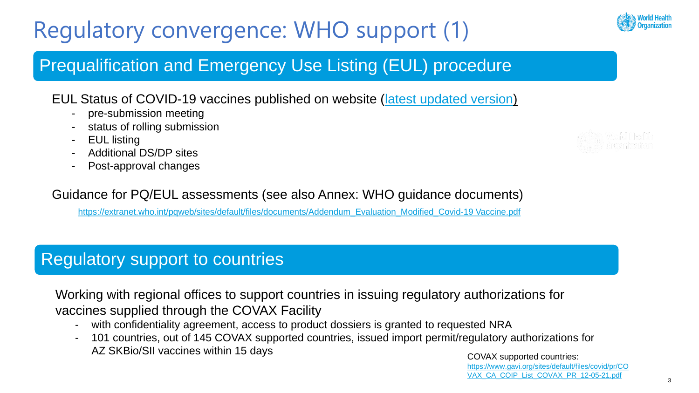# Regulatory convergence: WHO support (1)

### Prequalification and Emergency Use Listing (EUL) procedure

#### EUL Status of COVID-19 vaccines published on website ([latest updated version\)](https://extranet.who.int/pqweb/key-resources/documents/status-covid-19-vaccines-within-who-eulpq-evaluation-process)

- pre-submission meeting
- status of rolling submission
- EUL listing
- Additional DS/DP sites
- Post-approval changes

#### Guidance for PQ/EUL assessments (see also Annex: WHO guidance documents)

[https://extranet.who.int/pqweb/sites/default/files/documents/Addendum\\_Evaluation\\_Modified\\_Covid-19 Vaccine.pdf](https://extranet.who.int/pqweb/sites/default/files/documents/Addendum_Evaluation_Modified_Covid-19%20Vaccine.pdf)

### Regulatory support to countries

Working with regional offices to support countries in issuing regulatory authorizations for vaccines supplied through the COVAX Facility

- with confidentiality agreement, access to product dossiers is granted to requested NRA
- 101 countries, out of 145 COVAX supported countries, issued import permit/regulatory authorizations for AZ SKBio/SII vaccines within 15 days and the covax supported countries:





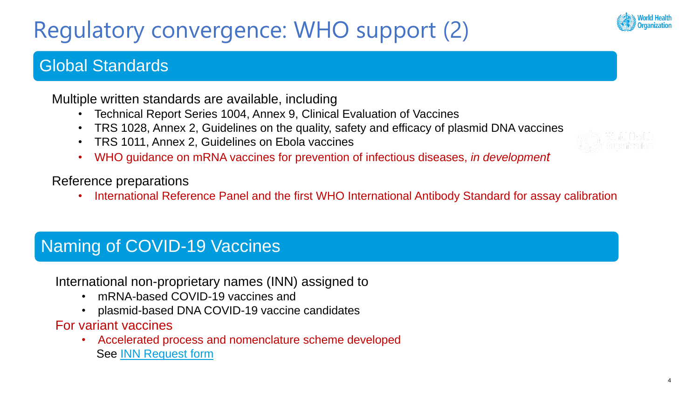# Regulatory convergence: WHO support (2)

#### Global Standards

Multiple written standards are available, including

- Technical Report Series 1004, Annex 9, Clinical Evaluation of Vaccines
- TRS 1028, Annex 2, Guidelines on the quality, safety and efficacy of plasmid DNA vaccines
- TRS 1011, Annex 2, Guidelines on Ebola vaccines
- WHO guidance on mRNA vaccines for prevention of infectious diseases, *in development*

#### Reference preparations

• International Reference Panel and the first WHO International Antibody Standard for assay calibration

### Naming of COVID-19 Vaccines

International non-proprietary names (INN) assigned to

- mRNA-based COVID-19 vaccines and
- plasmid-based DNA COVID-19 vaccine candidates

For variant vaccines

• Accelerated process and nomenclature scheme developed See [INN Request form](https://extranet.who.int/tools/inn_online_application/INN_online_application_files/INNFORM_072010.pdf)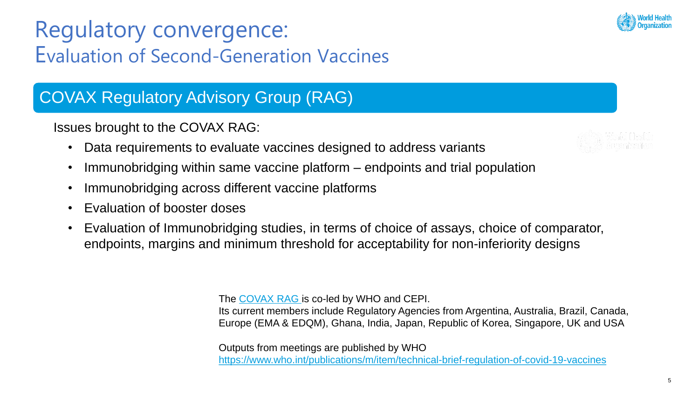## Regulatory convergence: Evaluation of Second-Generation Vaccines

### COVAX Regulatory Advisory Group (RAG)

Issues brought to the COVAX RAG:

- Data requirements to evaluate vaccines designed to address variants
- Immunobridging within same vaccine platform endpoints and trial population
- Immunobridging across different vaccine platforms
- Evaluation of booster doses
- Evaluation of Immunobridging studies, in terms of choice of assays, choice of comparator, endpoints, margins and minimum threshold for acceptability for non-inferiority designs

The [COVAX RAG](https://epi.tghn.org/covax-overview/regulatory-advisory-group/) is co-led by WHO and CEPI.

Its current members include Regulatory Agencies from Argentina, Australia, Brazil, Canada, Europe (EMA & EDQM), Ghana, India, Japan, Republic of Korea, Singapore, UK and USA

Outputs from meetings are published by WHO <https://www.who.int/publications/m/item/technical-brief-regulation-of-covid-19-vaccines>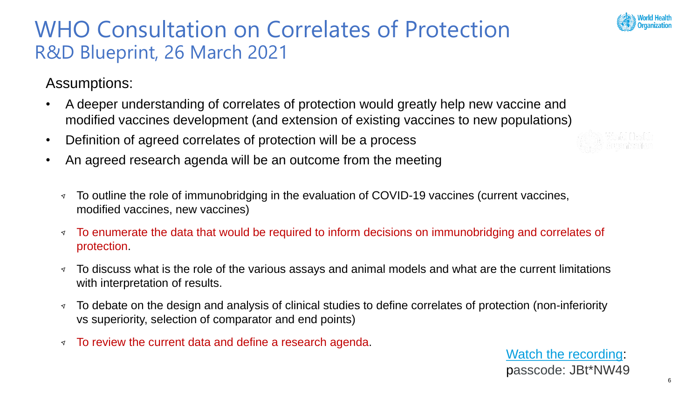

### WHO Consultation on Correlates of Protection R&D Blueprint, 26 March 2021

Assumptions:

- A deeper understanding of correlates of protection would greatly help new vaccine and modified vaccines development (and extension of existing vaccines to new populations)
- Definition of agreed correlates of protection will be a process
- An agreed research agenda will be an outcome from the meeting
	- To outline the role of immunobridging in the evaluation of COVID-19 vaccines (current vaccines,  $\triangleleft$ modified vaccines, new vaccines)
	- To enumerate the data that would be required to inform decisions on immunobridging and correlates of  $\blacktriangledown$ protection.
	- To discuss what is the role of the various assays and animal models and what are the current limitations  $\triangleleft$ with interpretation of results.
	- To debate on the design and analysis of clinical studies to define correlates of protection (non-inferiority  $\triangleleft$ vs superiority, selection of comparator and end points)
	- To review the current data and define a research agenda.  $\blacktriangledown$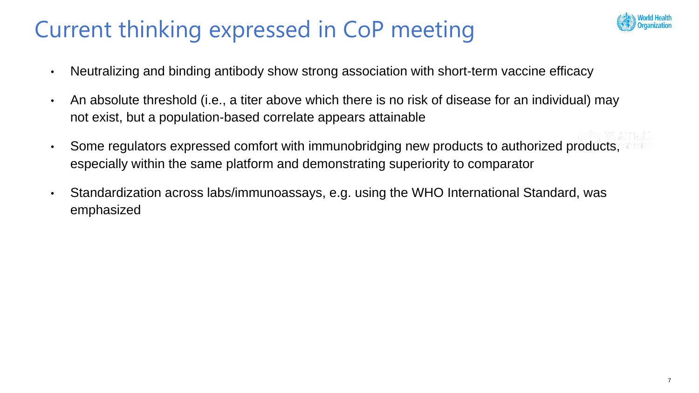# Current thinking expressed in CoP meeting



- Neutralizing and binding antibody show strong association with short-term vaccine efficacy
- An absolute threshold (i.e., a titer above which there is no risk of disease for an individual) may not exist, but a population-based correlate appears attainable
- Some regulators expressed comfort with immunobridging new products to authorized products, especially within the same platform and demonstrating superiority to comparator
- Standardization across labs/immunoassays, e.g. using the WHO International Standard, was emphasized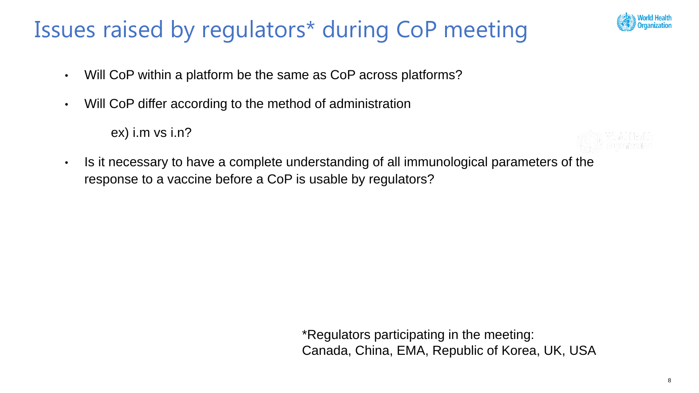## Issues raised by regulators\* during CoP meeting

- Will CoP within a platform be the same as CoP across platforms?
- Will CoP differ according to the method of administration

ex) i.m vs i.n?

• Is it necessary to have a complete understanding of all immunological parameters of the response to a vaccine before a CoP is usable by regulators?

> \*Regulators participating in the meeting: Canada, China, EMA, Republic of Korea, UK, USA